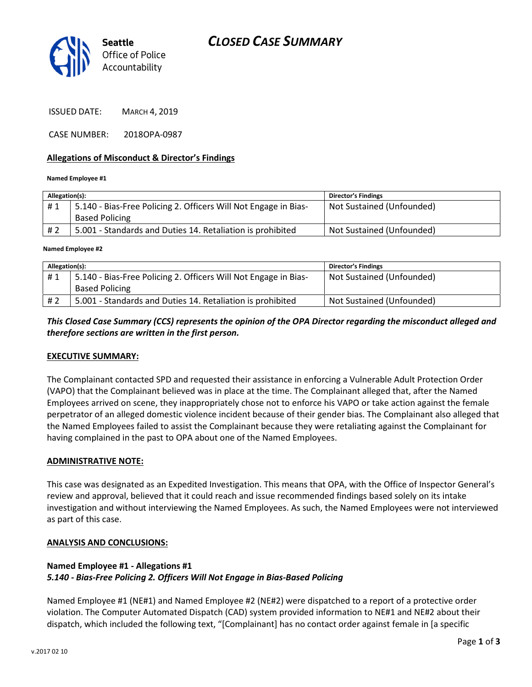



ISSUED DATE: MARCH 4, 2019

CASE NUMBER: 2018OPA-0987

#### Allegations of Misconduct & Director's Findings

#### Named Employee #1

| Allegation(s): |                                                                 | <b>Director's Findings</b> |
|----------------|-----------------------------------------------------------------|----------------------------|
| #1             | 5.140 - Bias-Free Policing 2. Officers Will Not Engage in Bias- | Not Sustained (Unfounded)  |
|                | <b>Based Policing</b>                                           |                            |
| # 2            | 5.001 - Standards and Duties 14. Retaliation is prohibited      | Not Sustained (Unfounded)  |
|                |                                                                 |                            |

Named Employee #2

| Allegation(s): |                                                                 | <b>Director's Findings</b> |
|----------------|-----------------------------------------------------------------|----------------------------|
| #1             | 5.140 - Bias-Free Policing 2. Officers Will Not Engage in Bias- | Not Sustained (Unfounded)  |
|                | <b>Based Policing</b>                                           |                            |
| # 2            | 5.001 - Standards and Duties 14. Retaliation is prohibited      | Not Sustained (Unfounded)  |

## This Closed Case Summary (CCS) represents the opinion of the OPA Director regarding the misconduct alleged and therefore sections are written in the first person.

#### EXECUTIVE SUMMARY:

The Complainant contacted SPD and requested their assistance in enforcing a Vulnerable Adult Protection Order (VAPO) that the Complainant believed was in place at the time. The Complainant alleged that, after the Named Employees arrived on scene, they inappropriately chose not to enforce his VAPO or take action against the female perpetrator of an alleged domestic violence incident because of their gender bias. The Complainant also alleged that the Named Employees failed to assist the Complainant because they were retaliating against the Complainant for having complained in the past to OPA about one of the Named Employees.

#### ADMINISTRATIVE NOTE:

This case was designated as an Expedited Investigation. This means that OPA, with the Office of Inspector General's review and approval, believed that it could reach and issue recommended findings based solely on its intake investigation and without interviewing the Named Employees. As such, the Named Employees were not interviewed as part of this case.

#### ANALYSIS AND CONCLUSIONS:

## Named Employee #1 - Allegations #1 5.140 - Bias-Free Policing 2. Officers Will Not Engage in Bias-Based Policing

Named Employee #1 (NE#1) and Named Employee #2 (NE#2) were dispatched to a report of a protective order violation. The Computer Automated Dispatch (CAD) system provided information to NE#1 and NE#2 about their dispatch, which included the following text, "[Complainant] has no contact order against female in [a specific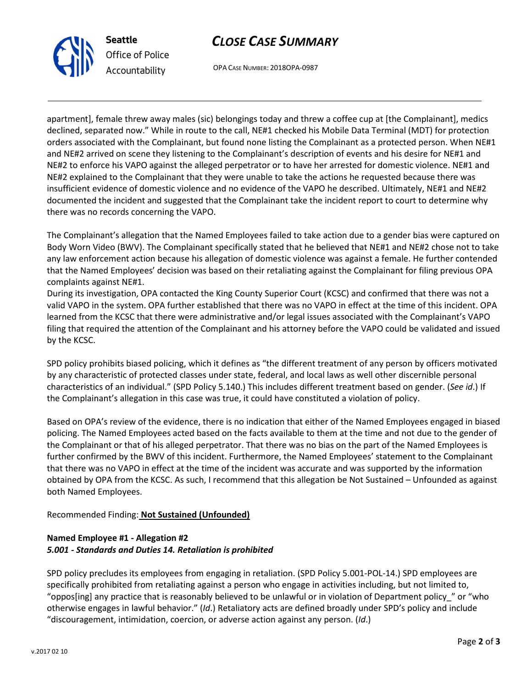



OPA CASE NUMBER: 2018OPA-0987

apartment], female threw away males (sic) belongings today and threw a coffee cup at [the Complainant], medics declined, separated now." While in route to the call, NE#1 checked his Mobile Data Terminal (MDT) for protection orders associated with the Complainant, but found none listing the Complainant as a protected person. When NE#1 and NE#2 arrived on scene they listening to the Complainant's description of events and his desire for NE#1 and NE#2 to enforce his VAPO against the alleged perpetrator or to have her arrested for domestic violence. NE#1 and NE#2 explained to the Complainant that they were unable to take the actions he requested because there was insufficient evidence of domestic violence and no evidence of the VAPO he described. Ultimately, NE#1 and NE#2 documented the incident and suggested that the Complainant take the incident report to court to determine why there was no records concerning the VAPO.

The Complainant's allegation that the Named Employees failed to take action due to a gender bias were captured on Body Worn Video (BWV). The Complainant specifically stated that he believed that NE#1 and NE#2 chose not to take any law enforcement action because his allegation of domestic violence was against a female. He further contended that the Named Employees' decision was based on their retaliating against the Complainant for filing previous OPA complaints against NE#1.

During its investigation, OPA contacted the King County Superior Court (KCSC) and confirmed that there was not a valid VAPO in the system. OPA further established that there was no VAPO in effect at the time of this incident. OPA learned from the KCSC that there were administrative and/or legal issues associated with the Complainant's VAPO filing that required the attention of the Complainant and his attorney before the VAPO could be validated and issued by the KCSC.

SPD policy prohibits biased policing, which it defines as "the different treatment of any person by officers motivated by any characteristic of protected classes under state, federal, and local laws as well other discernible personal characteristics of an individual." (SPD Policy 5.140.) This includes different treatment based on gender. (See id.) If the Complainant's allegation in this case was true, it could have constituted a violation of policy.

Based on OPA's review of the evidence, there is no indication that either of the Named Employees engaged in biased policing. The Named Employees acted based on the facts available to them at the time and not due to the gender of the Complainant or that of his alleged perpetrator. That there was no bias on the part of the Named Employees is further confirmed by the BWV of this incident. Furthermore, the Named Employees' statement to the Complainant that there was no VAPO in effect at the time of the incident was accurate and was supported by the information obtained by OPA from the KCSC. As such, I recommend that this allegation be Not Sustained – Unfounded as against both Named Employees.

# Recommended Finding: Not Sustained (Unfounded)

## Named Employee #1 - Allegation #2 5.001 - Standards and Duties 14. Retaliation is prohibited

SPD policy precludes its employees from engaging in retaliation. (SPD Policy 5.001-POL-14.) SPD employees are specifically prohibited from retaliating against a person who engage in activities including, but not limited to, "oppos[ing] any practice that is reasonably believed to be unlawful or in violation of Department policy\_" or "who otherwise engages in lawful behavior." (Id.) Retaliatory acts are defined broadly under SPD's policy and include "discouragement, intimidation, coercion, or adverse action against any person. (Id.)